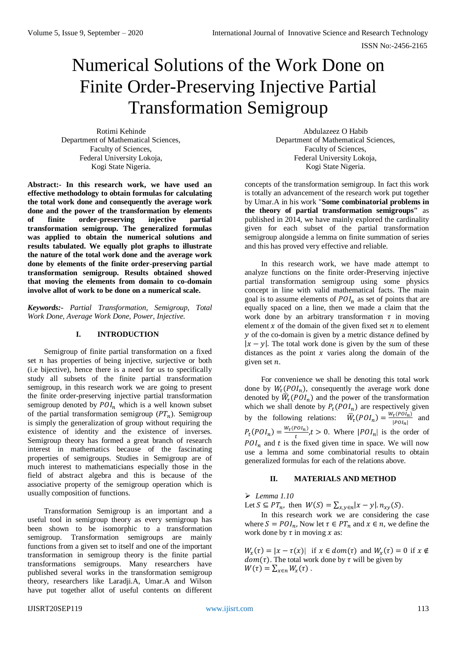# Numerical Solutions of the Work Done on Finite Order-Preserving Injective Partial Transformation Semigroup

Rotimi Kehinde Department of Mathematical Sciences, Faculty of Sciences, Federal University Lokoja, Kogi State Nigeria.

**Abstract:- In this research work, we have used an effective methodology to obtain formulas for calculating the total work done and consequently the average work done and the power of the transformation by elements of finite order-preserving injective partial transformation semigroup. The generalized formulas was applied to obtain the numerical solutions and results tabulated. We equally plot graphs to illustrate the nature of the total work done and the average work done by elements of the finite order-preserving partial transformation semigroup. Results obtained showed that moving the elements from domain to co-domain involve allot of work to be done on a numerical scale.**

*Keywords:- Partial Transformation, Semigroup, Total Work Done, Average Work Done, Power, Injective.*

# **I. INTRODUCTION**

Semigroup of finite partial transformation on a fixed set  $n$  has properties of being injective, surjective or both (i.e bijective), hence there is a need for us to specifically study all subsets of the finite partial transformation semigroup, in this research work we are going to present the finite order-preserving injective partial transformation semigroup denoted by  $POI_n$  which is a well known subset of the partial transformation semigroup  $(PT_n)$ . Semigroup is simply the generalization of group without requiring the existence of identity and the existence of inverses. Semigroup theory has formed a great branch of research interest in mathematics because of the fascinating properties of semigroups. Studies in Semigroup are of much interest to mathematicians especially those in the field of abstract algebra and this is because of the associative property of the semigroup operation which is usually composition of functions.

Transformation Semigroup is an important and a useful tool in semigroup theory as every semigroup has been shown to be isomorphic to a transformation semigroup. Transformation semigroups are mainly functions from a given set to itself and one of the important transformation in semigroup theory is the finite partial transformations semigroups. Many researchers have published several works in the transformation semigroup theory, researchers like Laradji.A, Umar.A and Wilson have put together allot of useful contents on different

Abdulazeez O Habib Department of Mathematical Sciences, Faculty of Sciences, Federal University Lokoja, Kogi State Nigeria.

concepts of the transformation semigroup. In fact this work is totally an advancement of the research work put together by Umar.A in his work "**Some combinatorial problems in the theory of partial transformation semigroups"** as published in 2014, we have mainly explored the cardinality given for each subset of the partial transformation semigroup alongside a lemma on finite summation of series and this has proved very effective and reliable.

In this research work, we have made attempt to analyze functions on the finite order-Preserving injective partial transformation semigroup using some physics concept in line with valid mathematical facts. The main goal is to assume elements of  $POI_n$  as set of points that are equally spaced on a line, then we made a claim that the work done by an arbitrary transformation  $\tau$  in moving element  $x$  of the domain of the given fixed set  $n$  to element  $y$  of the co-domain is given by a metric distance defined by  $|x - y|$ . The total work done is given by the sum of these distances as the point  $x$  varies along the domain of the given set  $n$ .

For convenience we shall be denoting this total work done by  $W_{\tau}(POI_n)$ , consequently the average work done denoted by  $\overline{W}_{\tau}(POI_n)$  and the power of the transformation which we shall denote by  $P_t(P O I_n)$  are respectively given by the following relations:  $\overline{W}_\tau(P O I_n) = \frac{W_\tau(P O I_n)}{|P O I_n|}$  $\frac{\tau(V \cup n)}{|POI_n|}$  and  $P_t(POI_n) = \frac{W_t(POI_n)}{t}$  $\frac{\partial u_n}{\partial t}$ ,  $t > 0$ . Where  $|POI_n|$  is the order of  $POI_n$  and t is the fixed given time in space. We will now use a lemma and some combinatorial results to obtain generalized formulas for each of the relations above.

# **II. MATERIALS AND METHOD**

*Lemma 1.10*

Let  $S \subseteq PT_n$ , then  $W(S) = \sum_{x,y \in n} |x - y| \cdot n_{xy}(S)$ .

In this research work we are considering the case where  $S = POI_n$ , Now let  $\tau \in PT_n$  and  $x \in n$ , we define the work done by  $\tau$  in moving  $x$  as:

 $W_x(\tau) = |x - \tau(x)|$  if  $x \in dom(\tau)$  and  $W_x(\tau) = 0$  if  $x \notin$  $dom(\tau)$ . The total work done by  $\tau$  will be given by  $W(\tau) = \sum_{x \in n} W_x(\tau)$ .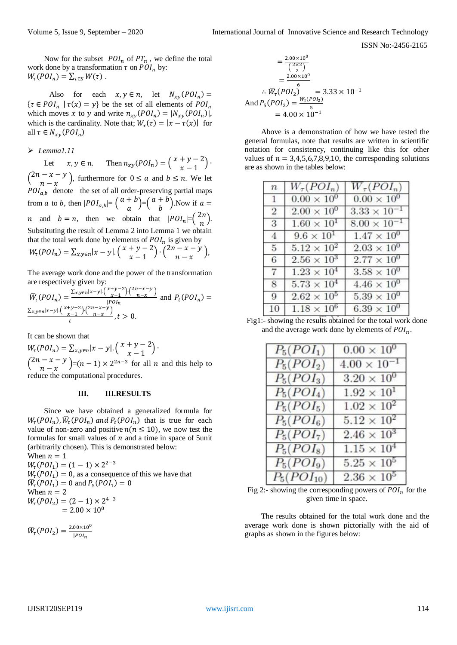ISSN No:-2456-2165

Now for the subset  $POL_n$  of  $PT_n$ , we define the total work done by a transformation  $\tau$  on  $POI_n$  by:  $W_{\tau}(POI_n) = \sum_{\tau \in S} W(\tau)$ .

Also for each  $x, y \in n$ , let  $N_{xy}(POI_n) =$  $\{\tau \in POI_n \mid \tau(x) = y\}$  be the set of all elements of  $POI_n$ which moves x to y and write  $n_{xy}(POI_n) = |N_{xy}(POI_n)|$ , which is the cardinality. Note that;  $W_x(\tau) = |x - \tau(x)|$  for all  $\tau \in N_{xy}(POI_n)$ 

### *Lemma1.11*

Let  $x, y \in n$ . Then  $n_{xy}(POI_n) = \begin{pmatrix} x + y - 2 \\ x - 1 \end{pmatrix}$  $\frac{y-2}{x-1}$ .  $\binom{2n-x-y}{n}$  $\begin{pmatrix} -x - y \\ n - x \end{pmatrix}$ , furthermore for  $0 \le a$  and  $b \le n$ . We let  $POI_{a,b}$  denote the set of all order-preserving partial maps from a to b, then  $|POI_{a,b}| = \left(\begin{array}{c} a+b \end{array}\right)$  $\binom{a+b}{a}$  =  $\binom{a+b}{b}$  $\binom{+}{b}$ . Now if  $a =$ *n* and  $b = n$ , then we obtain that  $|POI_n| = \left(\frac{2n}{n}\right)^n$  $\binom{n}{n}$ . Substituting the result of Lemma 2 into Lemma 1 we obtain that the total work done by elements of  $POI_n$  is given by  $W_{\tau}(POI_{n}) = \sum_{x,y \in n} |x-y| \cdot \binom{x+y-2}{x-1}$  $\binom{+y-2}{x-1} \cdot \binom{2n-x-y}{n-x}$  $\frac{x-y}{n-x}$ ),

The average work done and the power of the transformation are respectively given by:

$$
\overline{W}_\tau(PO I_n) = \frac{\sum_{x,y \in n} |x-y| \binom{x+y-2}{x-1} \binom{2n-x-y}{n-x}}{|P O I_n|} \text{ and } P_t(PO I_n) = \frac{\sum_{x,y \in n} |x-y| \binom{x+y-2}{x-1} \binom{2n-x-y}{n-x}}{t}, t > 0.
$$

It can be shown that

 $W_{\tau}(POI_n) = \sum_{x,y \in n} |x-y| \left( \begin{array}{c} x+y-2 \\ x-1 \end{array} \right)$  $\frac{y}{x-1}$ ).  $\binom{2n-x-y}{n}$  $\binom{-x-y}{n-x}$  =  $(n-1) \times 2^{2n-3}$  for all *n* and this help to reduce the computational procedures.

#### **III. III.RESULTS**

Since we have obtained a generalized formula for  $W_{\tau}(POI_n)$ ,  $\overline{W}_{\tau}(POI_n)$  and  $P_t(POI_n)$  that is true for each value of non-zero and positive  $n(n \leq 10)$ , we now test the formulas for small values of  $n$  and a time in space of 5unit (arbitrarily chosen). This is demonstrated below:

When  $n = 1$  $W_{\tau}(POI_1) = (1 - 1) \times 2^{2-3}$  $W_{\tau}(POI_1) = 0$ , as a consequence of this we have that  $\overline{W}_{\tau}(POI_1) = 0$  and  $P_5(POI_1) = 0$ When  $n = 2$  $W_{\tau}(POI_2) = (2-1) \times 2^{4-3}$  $= 2.00 \times 10^{0}$ 

$$
\overline{W}_{\tau}(POI_2) = \frac{2.00 \times 10^0}{|POI_n|}
$$

$$
= \frac{2.00 \times 10^0}{\binom{2 \times 2}{2}}
$$
  
=  $\frac{2.00 \times 10^0}{6}$   
 $\therefore \overline{W}_{\tau}(\overline{POI}_2) = 3.33 \times 10^{-1}$   
And  $P_5(POI_2) = \frac{W_{\tau}(POI_2)}{5}$   
= 4.00 × 10<sup>-1</sup>

Above is a demonstration of how we have tested the general formulas, note that results are written in scientific notation for consistency, continuing like this for other values of  $n = 3,4,5,6,7,8,9,10$ , the corresponding solutions are as shown in the tables below:

| $\boldsymbol{n}$ | $W_\tau(POI_n)$      | $W_\tau (POI_n)$      |
|------------------|----------------------|-----------------------|
| $\mathbf{1}$     | $0.00 \times 10^{0}$ | $0.00 \times 10^{0}$  |
| $\overline{2}$   | $2.00 \times 10^{0}$ | $3.33 \times 10^{-1}$ |
| 3                | $1.60 \times 10^{1}$ | $8.00 \times 10^{-1}$ |
| $\overline{4}$   | $9.6 \times 10^{1}$  | $1.47 \times 10^{0}$  |
| 5                | $5.12 \times 10^{2}$ | $2.03 \times 10^{0}$  |
| 6                | $2.56 \times 10^{3}$ | $2.77 \times 10^{0}$  |
| $\overline{7}$   | $1.23 \times 10^{4}$ | $3.58 \times 10^{0}$  |
| 8                | $5.73 \times 10^{4}$ | $4.46 \times 10^{0}$  |
| 9                | $2.62 \times 10^{5}$ | $5.39 \times 10^{0}$  |
| 10               | $1.18 \times 10^{6}$ | $6.39 \times 10^{0}$  |

Fig1:- showing the results obtained for the total work done and the average work done by elements of  $POI_n$ .

| $P_5(POI_1)$    | $0.00 \times 10^{0}$  |
|-----------------|-----------------------|
| $P_5(POI_2)$    | $4.00 \times 10^{-1}$ |
| $P_5(POI_3)$    | $3.20 \times 10^{0}$  |
| $P_5(POI_4)$    | $1.92 \times 10^{1}$  |
| $P_5(POI_5)$    | $1.02 \times 10^{2}$  |
| $P_5(POI_6)$    | $5.12 \times 10^{2}$  |
| $P_5(POI_7)$    | $2.46 \times 10^{3}$  |
| $P_5(POI_8)$    | $1.15 \times 10^{4}$  |
| $P_5(POI_9)$    | $5.25 \times 10^{5}$  |
| $P_5(POI_{10})$ | $2.36 \times 10^{5}$  |

Fig 2:- showing the corresponding powers of  $POL_n$  for the given time in space.

The results obtained for the total work done and the average work done is shown pictorially with the aid of graphs as shown in the figures below: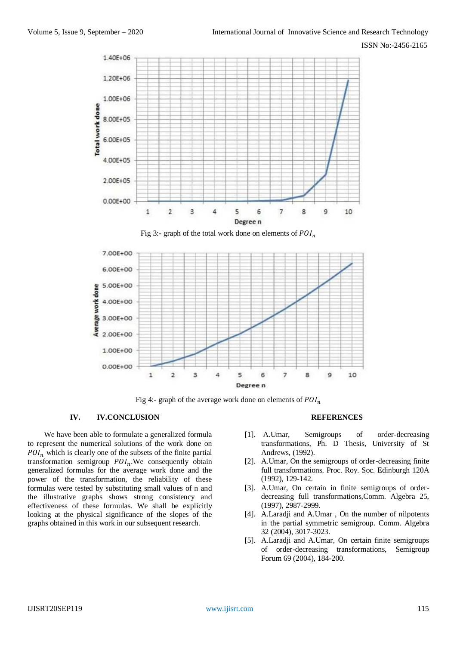

Fig 3:- graph of the total work done on elements of  $POI_n$ 



Fig 4:- graph of the average work done on elements of  $POI_n$ 

#### **IV. IV.CONCLUSION**

We have been able to formulate a generalized formula to represent the numerical solutions of the work done on  $POI_n$  which is clearly one of the subsets of the finite partial transformation semigroup  $POI_n$ . We consequently obtain generalized formulas for the average work done and the power of the transformation, the reliability of these formulas were tested by substituting small values of n and the illustrative graphs shows strong consistency and effectiveness of these formulas. We shall be explicitly looking at the physical significance of the slopes of the graphs obtained in this work in our subsequent research.

#### **REFERENCES**

- [1]. A.Umar, Semigroups of order-decreasing transformations, Ph. D Thesis, University of St Andrews, (1992).
- [2]. A.Umar, On the semigroups of order-decreasing finite full transformations. Proc. Roy. Soc. Edinburgh 120A (1992), 129-142.
- [3]. A.Umar, On certain in finite semigroups of orderdecreasing full transformations,Comm. Algebra 25, (1997), 2987-2999.
- [4]. A.Laradji and A.Umar , On the number of nilpotents in the partial symmetric semigroup. Comm. Algebra 32 (2004), 3017-3023.
- [5]. A.Laradji and A.Umar, On certain finite semigroups of order-decreasing transformations, Semigroup Forum 69 (2004), 184-200.